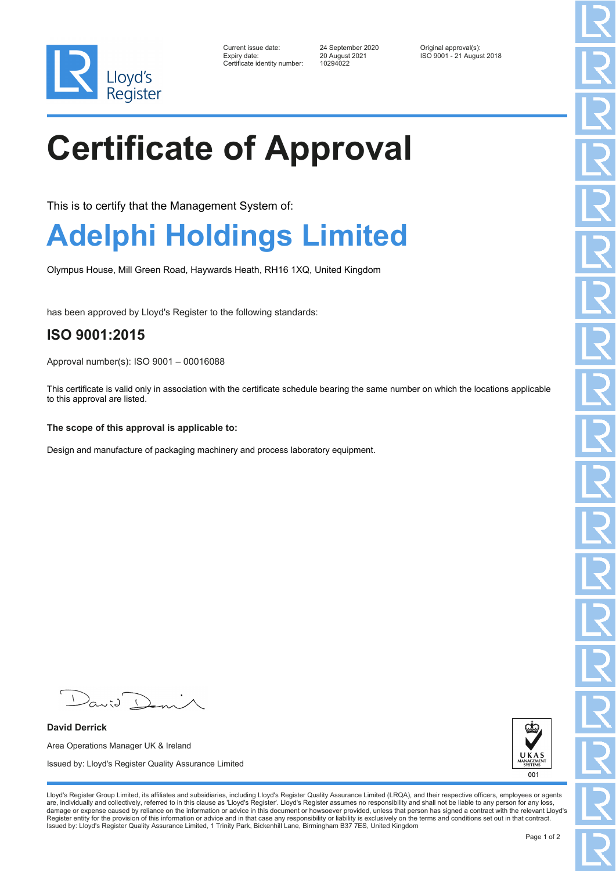

| Current issue date:         |  |
|-----------------------------|--|
| Expiry date:                |  |
| Certificate identity number |  |

Certificate identity number: 10294022

Current issue date: 24 September 2020 Original approval(s): Expiry date: 20 August 2021 ISO 9001 - 21 August 2018

# **Certificate of Approval**

This is to certify that the Management System of:

### **Adelphi Holdings Limited**

Olympus House, Mill Green Road, Haywards Heath, RH16 1XQ, United Kingdom

has been approved by Lloyd's Register to the following standards:

### **ISO 9001:2015**

Approval number(s): ISO 9001 – 00016088

This certificate is valid only in association with the certificate schedule bearing the same number on which the locations applicable to this approval are listed.

#### **The scope of this approval is applicable to:**

Design and manufacture of packaging machinery and process laboratory equipment.

J K **NAGE**<br>SYSTE 001

 $\sqrt{2}$ 

**David Derrick** Area Operations Manager UK & Ireland Issued by: Lloyd's Register Quality Assurance Limited

Lloyd's Register Group Limited, its affiliates and subsidiaries, including Lloyd's Register Quality Assurance Limited (LRQA), and their respective officers, employees or agents are, individually and collectively, referred to in this clause as 'Lloyd's Register'. Lloyd's Register assumes no responsibility and shall not be liable to any person for any loss,<br>damage or expense caused by reliance on t Register entity for the provision of this information or advice and in that case any responsibility or liability is exclusively on the terms and conditions set out in that contract. Issued by: Lloyd's Register Quality Assurance Limited, 1 Trinity Park, Bickenhill Lane, Birmingham B37 7ES, United Kingdom